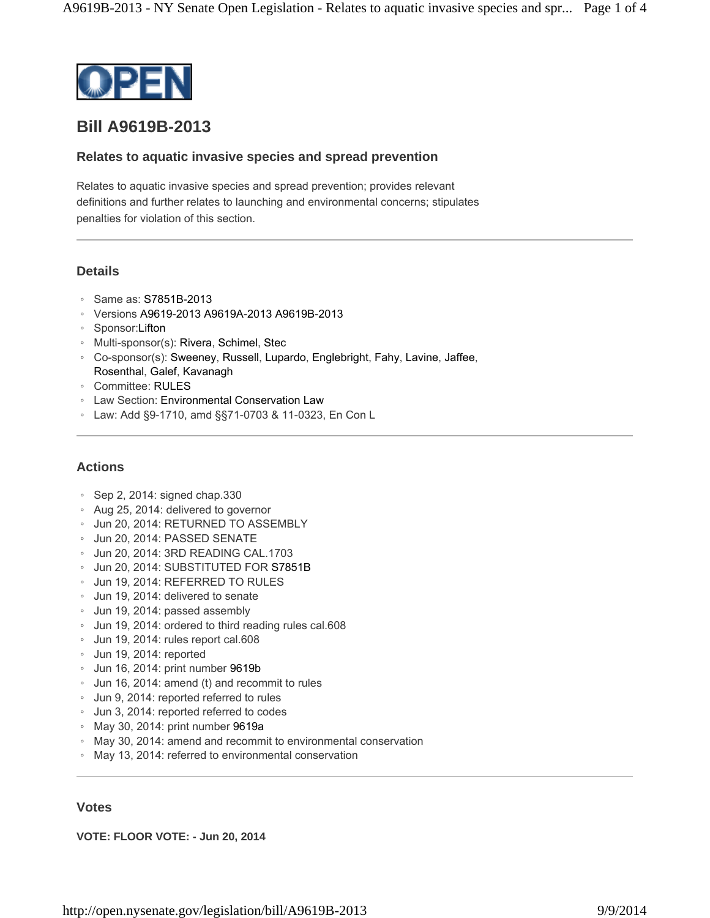

# **Bill A9619B-2013**

## **Relates to aquatic invasive species and spread prevention**

Relates to aquatic invasive species and spread prevention; provides relevant definitions and further relates to launching and environmental concerns; stipulates penalties for violation of this section.

# **Details**

- Same as: S7851B-2013
- Versions A9619-2013 A9619A-2013 A9619B-2013
- Sponsor:Lifton
- Multi-sponsor(s): Rivera, Schimel, Stec
- Co-sponsor(s): Sweeney, Russell, Lupardo, Englebright, Fahy, Lavine, Jaffee, Rosenthal, Galef, Kavanagh
- Committee: RULES
- Law Section: Environmental Conservation Law
- Law: Add §9-1710, amd §§71-0703 & 11-0323, En Con L

# **Actions**

- Sep 2, 2014: signed chap.330
- Aug 25, 2014: delivered to governor
- Jun 20, 2014: RETURNED TO ASSEMBLY
- Jun 20, 2014: PASSED SENATE
- Jun 20, 2014: 3RD READING CAL.1703
- Jun 20, 2014: SUBSTITUTED FOR S7851B
- Jun 19, 2014: REFERRED TO RULES
- Jun 19, 2014: delivered to senate
- Jun 19, 2014: passed assembly
- Jun 19, 2014: ordered to third reading rules cal.608
- Jun 19, 2014: rules report cal.608
- Jun 19, 2014: reported
- Jun 16, 2014: print number 9619b
- Jun 16, 2014: amend (t) and recommit to rules
- Jun 9, 2014: reported referred to rules
- Jun 3, 2014: reported referred to codes
- May 30, 2014: print number 9619a
- May 30, 2014: amend and recommit to environmental conservation
- May 13, 2014: referred to environmental conservation

## **Votes**

**VOTE: FLOOR VOTE: - Jun 20, 2014**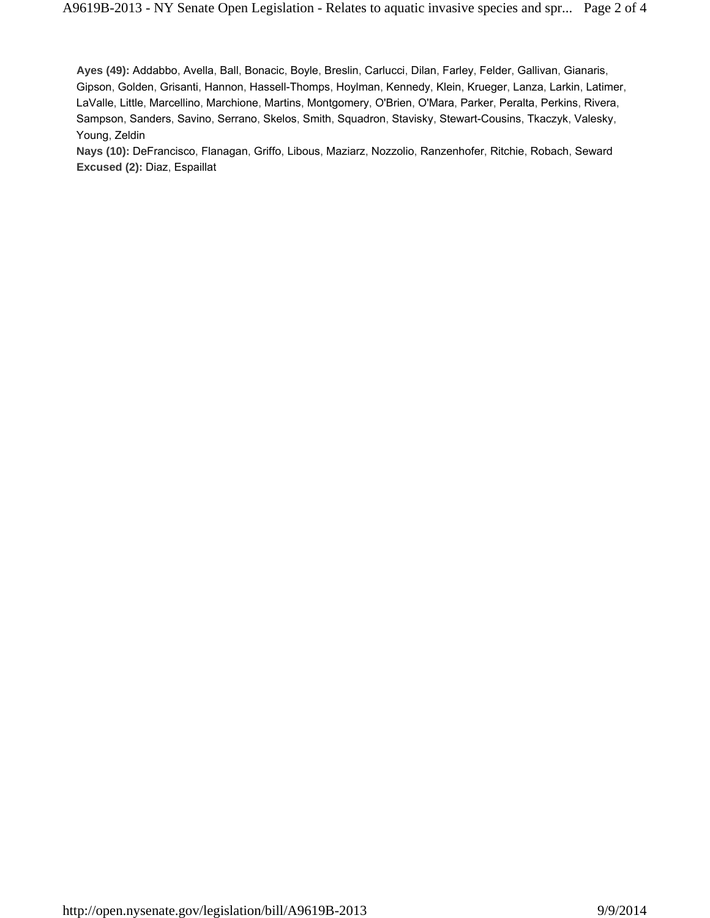**Ayes (49):** Addabbo, Avella, Ball, Bonacic, Boyle, Breslin, Carlucci, Dilan, Farley, Felder, Gallivan, Gianaris, Gipson, Golden, Grisanti, Hannon, Hassell-Thomps, Hoylman, Kennedy, Klein, Krueger, Lanza, Larkin, Latimer, LaValle, Little, Marcellino, Marchione, Martins, Montgomery, O'Brien, O'Mara, Parker, Peralta, Perkins, Rivera, Sampson, Sanders, Savino, Serrano, Skelos, Smith, Squadron, Stavisky, Stewart-Cousins, Tkaczyk, Valesky, Young, Zeldin

**Nays (10):** DeFrancisco, Flanagan, Griffo, Libous, Maziarz, Nozzolio, Ranzenhofer, Ritchie, Robach, Seward **Excused (2):** Diaz, Espaillat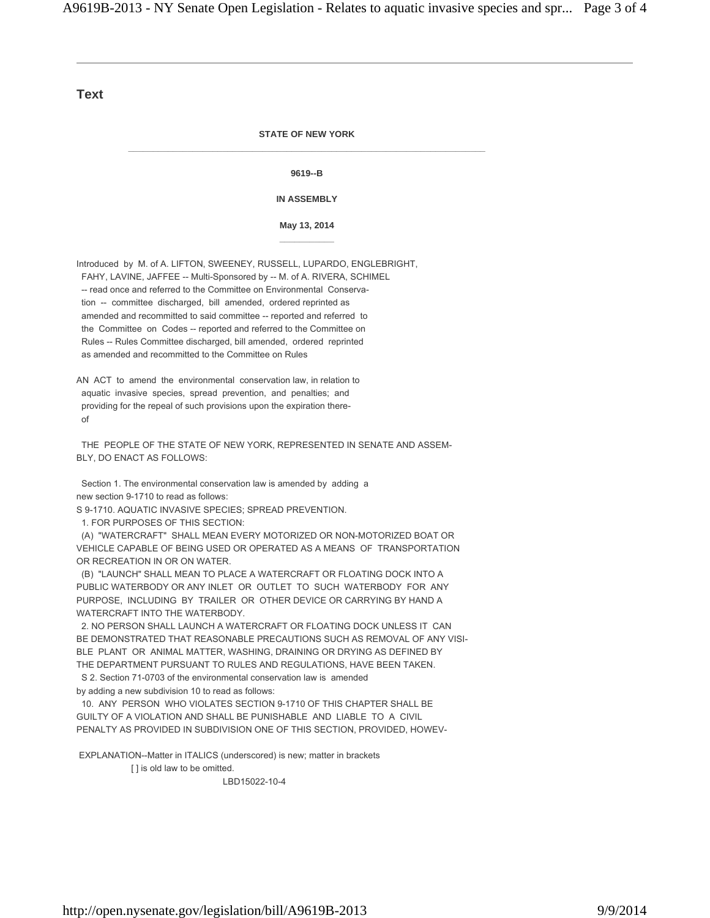#### **Text**

#### **STATE OF NEW YORK \_\_\_\_\_\_\_\_\_\_\_\_\_\_\_\_\_\_\_\_\_\_\_\_\_\_\_\_\_\_\_\_\_\_\_\_\_\_\_\_\_\_\_\_\_\_\_\_\_\_\_\_\_\_\_\_\_\_\_\_\_\_\_\_\_\_\_\_\_\_\_\_**

**9619--B** 

#### **IN ASSEMBLY**

**May 13, 2014 \_\_\_\_\_\_\_\_\_\_\_** 

Introduced by M. of A. LIFTON, SWEENEY, RUSSELL, LUPARDO, ENGLEBRIGHT, FAHY, LAVINE, JAFFEE -- Multi-Sponsored by -- M. of A. RIVERA, SCHIMEL -- read once and referred to the Committee on Environmental Conserva tion -- committee discharged, bill amended, ordered reprinted as amended and recommitted to said committee -- reported and referred to the Committee on Codes -- reported and referred to the Committee on Rules -- Rules Committee discharged, bill amended, ordered reprinted as amended and recommitted to the Committee on Rules

AN ACT to amend the environmental conservation law, in relation to aquatic invasive species, spread prevention, and penalties; and providing for the repeal of such provisions upon the expiration there of

 THE PEOPLE OF THE STATE OF NEW YORK, REPRESENTED IN SENATE AND ASSEM-BLY, DO ENACT AS FOLLOWS:

 Section 1. The environmental conservation law is amended by adding a new section 9-1710 to read as follows:

S 9-1710. AQUATIC INVASIVE SPECIES; SPREAD PREVENTION.

1. FOR PURPOSES OF THIS SECTION:

 (A) "WATERCRAFT" SHALL MEAN EVERY MOTORIZED OR NON-MOTORIZED BOAT OR VEHICLE CAPABLE OF BEING USED OR OPERATED AS A MEANS OF TRANSPORTATION OR RECREATION IN OR ON WATER.

 (B) "LAUNCH" SHALL MEAN TO PLACE A WATERCRAFT OR FLOATING DOCK INTO A PUBLIC WATERBODY OR ANY INLET OR OUTLET TO SUCH WATERBODY FOR ANY PURPOSE, INCLUDING BY TRAILER OR OTHER DEVICE OR CARRYING BY HAND A WATERCRAFT INTO THE WATERBODY.

 2. NO PERSON SHALL LAUNCH A WATERCRAFT OR FLOATING DOCK UNLESS IT CAN BE DEMONSTRATED THAT REASONABLE PRECAUTIONS SUCH AS REMOVAL OF ANY VISI-BLE PLANT OR ANIMAL MATTER, WASHING, DRAINING OR DRYING AS DEFINED BY THE DEPARTMENT PURSUANT TO RULES AND REGULATIONS, HAVE BEEN TAKEN.

 S 2. Section 71-0703 of the environmental conservation law is amended by adding a new subdivision 10 to read as follows:

 10. ANY PERSON WHO VIOLATES SECTION 9-1710 OF THIS CHAPTER SHALL BE GUILTY OF A VIOLATION AND SHALL BE PUNISHABLE AND LIABLE TO A CIVIL PENALTY AS PROVIDED IN SUBDIVISION ONE OF THIS SECTION, PROVIDED, HOWEV-

EXPLANATION--Matter in ITALICS (underscored) is new; matter in brackets

[ ] is old law to be omitted.

LBD15022-10-4